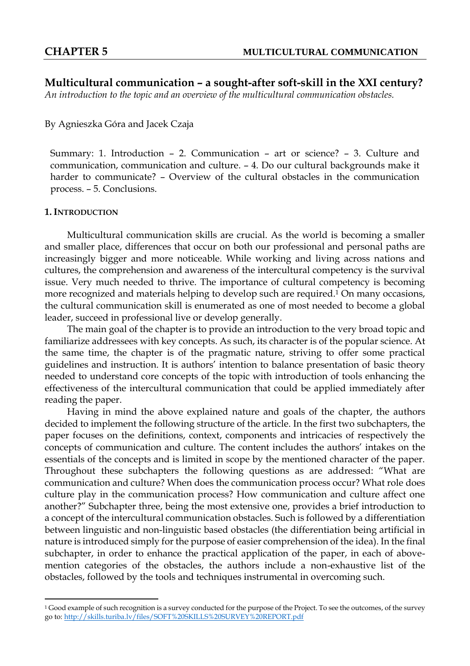**Multicultural communication – a sought-after soft-skill in the XXI century?**  *An introduction to the topic and an overview of the multicultural communication obstacles.*

By Agnieszka Góra and Jacek Czaja

Summary: 1. Introduction – 2. Communication – art or science? – 3. Culture and communication, communication and culture. – 4. Do our cultural backgrounds make it harder to communicate? – Overview of the cultural obstacles in the communication process. – 5. Conclusions.

# **1. INTRODUCTION**

 $\overline{a}$ 

Multicultural communication skills are crucial. As the world is becoming a smaller and smaller place, differences that occur on both our professional and personal paths are increasingly bigger and more noticeable. While working and living across nations and cultures, the comprehension and awareness of the intercultural competency is the survival issue. Very much needed to thrive. The importance of cultural competency is becoming more recognized and materials helping to develop such are required. <sup>1</sup> On many occasions, the cultural communication skill is enumerated as one of most needed to become a global leader, succeed in professional live or develop generally.

The main goal of the chapter is to provide an introduction to the very broad topic and familiarize addressees with key concepts. As such, its character is of the popular science. At the same time, the chapter is of the pragmatic nature, striving to offer some practical guidelines and instruction. It is authors' intention to balance presentation of basic theory needed to understand core concepts of the topic with introduction of tools enhancing the effectiveness of the intercultural communication that could be applied immediately after reading the paper.

Having in mind the above explained nature and goals of the chapter, the authors decided to implement the following structure of the article. In the first two subchapters, the paper focuses on the definitions, context, components and intricacies of respectively the concepts of communication and culture. The content includes the authors' intakes on the essentials of the concepts and is limited in scope by the mentioned character of the paper. Throughout these subchapters the following questions as are addressed: "What are communication and culture? When does the communication process occur? What role does culture play in the communication process? How communication and culture affect one another?" Subchapter three, being the most extensive one, provides a brief introduction to a concept of the intercultural communication obstacles. Such is followed by a differentiation between linguistic and non-linguistic based obstacles (the differentiation being artificial in nature is introduced simply for the purpose of easier comprehension of the idea). In the final subchapter, in order to enhance the practical application of the paper, in each of abovemention categories of the obstacles, the authors include a non-exhaustive list of the obstacles, followed by the tools and techniques instrumental in overcoming such.

<sup>&</sup>lt;sup>1</sup> Good example of such recognition is a survey conducted for the purpose of the Project. To see the outcomes, of the survey go to:<http://skills.turiba.lv/files/SOFT%20SKILLS%20SURVEY%20REPORT.pdf>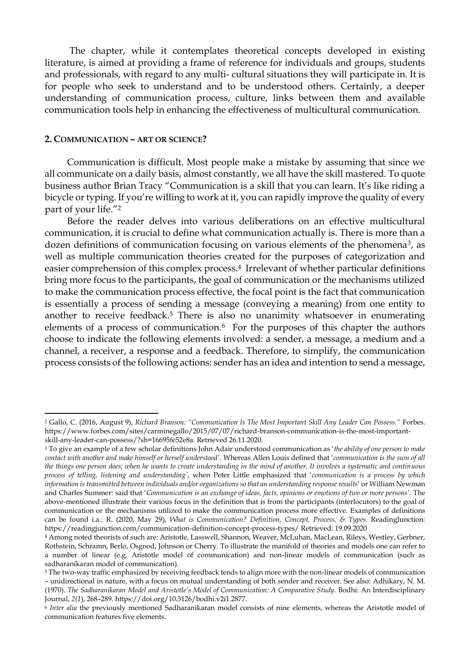The chapter, while it contemplates theoretical concepts developed in existing literature, is aimed at providing a frame of reference for individuals and groups, students and professionals, with regard to any multi- cultural situations they will participate in. It is for people who seek to understand and to be understood others. Certainly, a deeper understanding of communication process, culture, links between them and available communication tools help in enhancing the effectiveness of multicultural communication.

#### **2. COMMUNICATION – ART OR SCIENCE?**

l

Communication is difficult. Most people make a mistake by assuming that since we all communicate on a daily basis, almost constantly, we all have the skill mastered. To quote business author Brian Tracy "Communication is a skill that you can learn. It's like riding a bicycle or typing. If you're willing to work at it, you can rapidly improve the quality of every part of your life."<sup>2</sup>

Before the reader delves into various deliberations on an effective multicultural communication, it is crucial to define what communication actually is. There is more than a dozen definitions of communication focusing on various elements of the phenomena<sup>3</sup>, as well as multiple communication theories created for the purposes of categorization and easier comprehension of this complex process. <sup>4</sup> Irrelevant of whether particular definitions bring more focus to the participants, the goal of communication or the mechanisms utilized to make the communication process effective, the focal point is the fact that communication is essentially a process of sending a message (conveying a meaning) from one entity to another to receive feedback. <sup>5</sup> There is also no unanimity whatsoever in enumerating elements of a process of communication. <sup>6</sup> For the purposes of this chapter the authors choose to indicate the following elements involved: a sender, a message, a medium and a channel, a receiver, a response and a feedback. Therefore, to simplify, the communication process consists of the following actions: sender has an idea and intention to send a message,

<sup>2</sup> Gallo, C. (2016, August 9), *Richard Branson: "Communication Is The Most Important Skill Any Leader Can Possess."* Forbes. https://www.forbes.com/sites/carminegallo/2015/07/07/richard-branson-communication-is-the-most-importantskill-any-leader-can-possess/?sh=16695fe52e8a. Retrieved 26.11.2020.

<sup>3</sup> To give an example of a few scholar definitions John Adair understood communication as '*the ability of one person to make contact with another and make himself or herself understood'*. Whereas Allen Louis defined that '*communication is the sum of all the things one person does; when he wants to create understanding in the mind of another. It involves a systematic and continuous process of telling, listening and understanding'*, when Peter Little emphasized that '*communication is a process by which information is transmitted between individuals and/or organizations so that an understanding response results*' or William Newman and Charles Summer: said that '*Communication is an exchange of ideas, facts, opinions or emotions of two or more persons'.* The above-mentioned illustrate their various focus in the definition that is from the participants (interlocutors) to the goal of communication or the mechanisms utilized to make the communication process more effective. Examples of definitions can be found i.a.: R. (2020, May 29), *What is Communication? Definition, Concept, Process, & Types*. ReadingJunction: https://readingjunction.com/communication-definition-concept-process-types/ Retrieved: 19.09.2020

<sup>4</sup> Among noted theorists of such are: Aristotle, Lasswell, Shannon, Weaver, McLuhan, MacLean, Rileys, Westley, Gerbner, Rothstein, Schramn, Berlo, Osgood, Johnson or Cherry. To illustrate the manifold of theories and models one can refer to a number of linear (e.g. Aristotle model of communication) and non-linear models of communication (such as sadharanikaran model of communication).

<sup>5</sup> The two-way traffic emphasized by receiving feedback tends to align more with the non-linear models of communication – unidirectional in nature, with a focus on mutual understanding of both sender and receiver. See also: Adhikary, N. M. (1970). *The Sadharanikaran Model and Aristotle's Model of Communication: A Comparative Study.* Bodhi: An Interdisciplinary Journal, *2(1*), 268–289. https://doi.org/10.3126/bodhi.v2i1.2877.

<sup>6</sup> *Inter alia* the previously mentioned Sadharanikaran model consists of nine elements, whereas the Aristotle model of communication features five elements.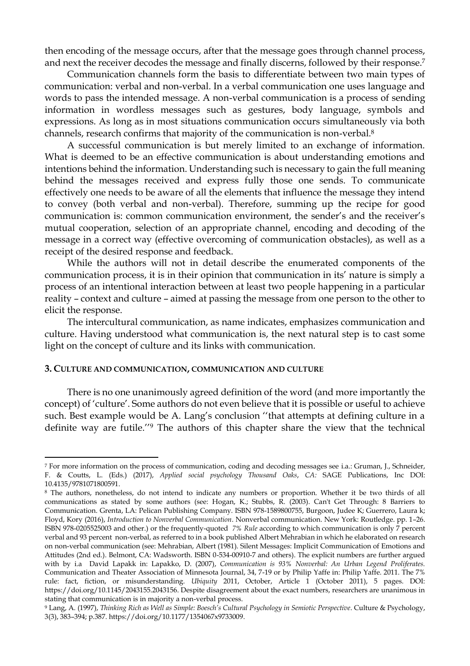then encoding of the message occurs, after that the message goes through channel process, and next the receiver decodes the message and finally discerns, followed by their response. 7

Communication channels form the basis to differentiate between two main types of communication: verbal and non-verbal. In a verbal communication one uses language and words to pass the intended message. A non-verbal communication is a process of sending information in wordless messages such as gestures, body language, symbols and expressions. As long as in most situations communication occurs simultaneously via both channels, research confirms that majority of the communication is non-verbal. 8

A successful communication is but merely limited to an exchange of information. What is deemed to be an effective communication is about understanding emotions and intentions behind the information. Understanding such is necessary to gain the full meaning behind the messages received and express fully those one sends. To communicate effectively one needs to be aware of all the elements that influence the message they intend to convey (both verbal and non-verbal). Therefore, summing up the recipe for good communication is: common communication environment, the sender's and the receiver's mutual cooperation, selection of an appropriate channel, encoding and decoding of the message in a correct way (effective overcoming of communication obstacles), as well as a receipt of the desired response and feedback.

While the authors will not in detail describe the enumerated components of the communication process, it is in their opinion that communication in its' nature is simply a process of an intentional interaction between at least two people happening in a particular reality – context and culture – aimed at passing the message from one person to the other to elicit the response.

The intercultural communication, as name indicates, emphasizes communication and culture. Having understood what communication is, the next natural step is to cast some light on the concept of culture and its links with communication.

#### **3. CULTURE AND COMMUNICATION, COMMUNICATION AND CULTURE**

 $\overline{a}$ 

There is no one unanimously agreed definition of the word (and more importantly the concept) of 'culture'. Some authors do not even believe that it is possible or useful to achieve such. Best example would be A. Lang's conclusion ''that attempts at defining culture in a definite way are futile.'' <sup>9</sup> The authors of this chapter share the view that the technical

<sup>7</sup> For more information on the process of communication, coding and decoding messages see i.a.: Gruman, J., Schneider, F. & Coutts, L. (Eds.) (2017), *Applied social psychology Thousand Oaks*, *CA:* SAGE Publications, Inc DOI: 10.4135/9781071800591.

<sup>8</sup> The authors, nonetheless, do not intend to indicate any numbers or proportion. Whether it be two thirds of all communications as stated by some authors (see: Hogan, K.; Stubbs, R. (2003). Can't Get Through: 8 Barriers to Communication. Grenta, LA: Pelican Publishing Company. ISBN 978-1589800755, Burgoon, Judee K; Guerrero, Laura k; Floyd, Kory (2016), *Introduction to Nonverbal Communication*. Nonverbal communication. New York: Routledge. pp. 1–26. ISBN 978-0205525003 and other.) or the frequently-quoted *7% Rule* according to which communication is only 7 percent verbal and 93 percent non-verbal, as referred to in a book published Albert Mehrabian in which he elaborated on research on non-verbal communication (see: Mehrabian, Albert (1981). Silent Messages: Implicit Communication of Emotions and Attitudes (2nd ed.). Belmont, CA: Wadsworth. ISBN 0-534-00910-7 and others). The explicit numbers are further argued with by i.a David Lapakk in: Lapakko, D. (2007), *Communication is 93% Nonverbal: An Urban Legend Proliferates.*  Communication and Theater Association of Minnesota Journal, 34, 7-19 or by Philip Yaffe in: Philip Yaffe. 2011. The 7% rule: fact, fiction, or misunderstanding. *Ubiquity* 2011, October, Article 1 (October 2011), 5 pages. DOI: https://doi.org/10.1145/2043155.2043156. Despite disagreement about the exact numbers, researchers are unanimous in stating that communication is in majority a non-verbal process.

<sup>9</sup> Lang, A. (1997), *Thinking Rich as Well as Simple: Boesch's Cultural Psychology in Semiotic Perspective*. Culture & Psychology, 3(3), 383–394; p.387. https://doi.org/10.1177/1354067x9733009.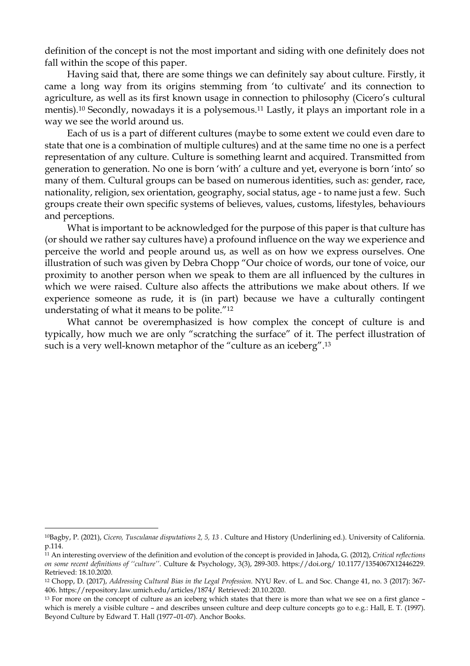definition of the concept is not the most important and siding with one definitely does not fall within the scope of this paper.

Having said that, there are some things we can definitely say about culture. Firstly, it came a long way from its origins stemming from 'to cultivate' and its connection to agriculture, as well as its first known usage in connection to philosophy (Cicero's cultural mentis). <sup>10</sup> Secondly, nowadays it is a polysemous. <sup>11</sup> Lastly, it plays an important role in a way we see the world around us.

Each of us is a part of different cultures (maybe to some extent we could even dare to state that one is a combination of multiple cultures) and at the same time no one is a perfect representation of any culture. Culture is something learnt and acquired. Transmitted from generation to generation. No one is born 'with' a culture and yet, everyone is born 'into' so many of them. Cultural groups can be based on numerous identities, such as: gender, race, nationality, religion, sex orientation, geography, social status, age - to name just a few. Such groups create their own specific systems of believes, values, customs, lifestyles, behaviours and perceptions.

What is important to be acknowledged for the purpose of this paper is that culture has (or should we rather say cultures have) a profound influence on the way we experience and perceive the world and people around us, as well as on how we express ourselves. One illustration of such was given by Debra Chopp "Our choice of words, our tone of voice, our proximity to another person when we speak to them are all influenced by the cultures in which we were raised. Culture also affects the attributions we make about others. If we experience someone as rude, it is (in part) because we have a culturally contingent understating of what it means to be polite."<sup>12</sup>

What cannot be overemphasized is how complex the concept of culture is and typically, how much we are only "scratching the surface" of it. The perfect illustration of such is a very well-known metaphor of the "culture as an iceberg". 13

 $\overline{a}$ 

<sup>10</sup>Bagby, P. (2021), *Cicero, Tusculanae disputations 2, 5, 13 .* Culture and History (Underlining ed.). University of California. p.114.

<sup>11</sup> An interesting overview of the definition and evolution of the concept is provided in Jahoda, G. (2012), *Critical reflections on some recent definitions of ''culture''*. Culture & Psychology, 3(3), 289-303. https://doi.org/ 10.1177/1354067X12446229. Retrieved: 18.10.2020.

<sup>12</sup> Chopp, D. (2017), *Addressing Cultural Bias in the Legal Profession.* NYU Rev. of L. and Soc. Change 41, no. 3 (2017): 367- 406. https://repository.law.umich.edu/articles/1874/ Retrieved: 20.10.2020.

<sup>&</sup>lt;sup>13</sup> For more on the concept of culture as an iceberg which states that there is more than what we see on a first glance – which is merely a visible culture – and describes unseen culture and deep culture concepts go to e.g.: Hall, E. T. (1997). Beyond Culture by Edward T. Hall (1977–01-07). Anchor Books.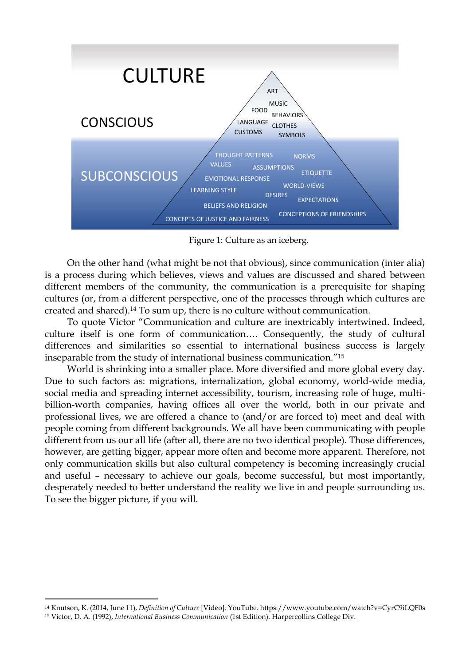

Figure 1: Culture as an iceberg.

On the other hand (what might be not that obvious), since communication (inter alia) is a process during which believes, views and values are discussed and shared between different members of the community, the communication is a prerequisite for shaping cultures (or, from a different perspective, one of the processes through which cultures are created and shared). <sup>14</sup> To sum up, there is no culture without communication.

To quote Victor "Communication and culture are inextricably intertwined. Indeed, culture itself is one form of communication…. Consequently, the study of cultural differences and similarities so essential to international business success is largely inseparable from the study of international business communication."<sup>15</sup>

World is shrinking into a smaller place. More diversified and more global every day. Due to such factors as: migrations, internalization, global economy, world-wide media, social media and spreading internet accessibility, tourism, increasing role of huge, multibillion-worth companies, having offices all over the world, both in our private and professional lives, we are offered a chance to (and/or are forced to) meet and deal with people coming from different backgrounds. We all have been communicating with people different from us our all life (after all, there are no two identical people). Those differences, however, are getting bigger, appear more often and become more apparent. Therefore, not only communication skills but also cultural competency is becoming increasingly crucial and useful – necessary to achieve our goals, become successful, but most importantly, desperately needed to better understand the reality we live in and people surrounding us. To see the bigger picture, if you will.

 $\overline{a}$ 

<sup>14</sup> Knutson, K. (2014, June 11), *Definition of Culture* [Video]. YouTube. https://www.youtube.com/watch?v=CyrC9iLQF0s <sup>15</sup> Victor, D. A. (1992), *International Business Communication* (1st Edition). Harpercollins College Div.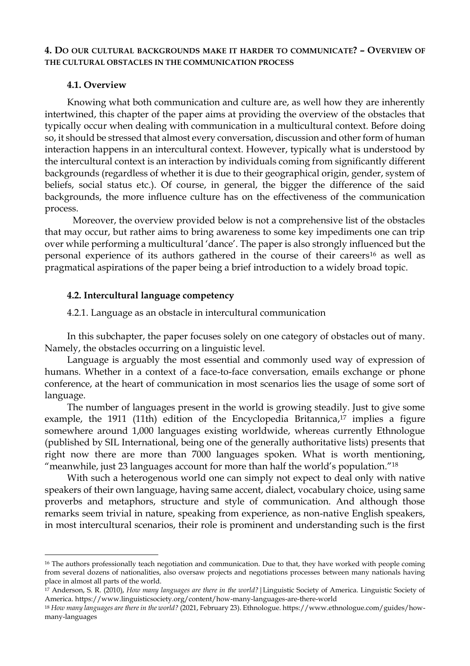# **4. DO OUR CULTURAL BACKGROUNDS MAKE IT HARDER TO COMMUNICATE? – OVERVIEW OF THE CULTURAL OBSTACLES IN THE COMMUNICATION PROCESS**

# **4.1. Overview**

 $\overline{a}$ 

Knowing what both communication and culture are, as well how they are inherently intertwined, this chapter of the paper aims at providing the overview of the obstacles that typically occur when dealing with communication in a multicultural context. Before doing so, it should be stressed that almost every conversation, discussion and other form of human interaction happens in an intercultural context. However, typically what is understood by the intercultural context is an interaction by individuals coming from significantly different backgrounds (regardless of whether it is due to their geographical origin, gender, system of beliefs, social status etc.). Of course, in general, the bigger the difference of the said backgrounds, the more influence culture has on the effectiveness of the communication process.

Moreover, the overview provided below is not a comprehensive list of the obstacles that may occur, but rather aims to bring awareness to some key impediments one can trip over while performing a multicultural 'dance'. The paper is also strongly influenced but the personal experience of its authors gathered in the course of their careers<sup>16</sup> as well as pragmatical aspirations of the paper being a brief introduction to a widely broad topic.

# **4.2. Intercultural language competency**

4.2.1. Language as an obstacle in intercultural communication

In this subchapter, the paper focuses solely on one category of obstacles out of many. Namely, the obstacles occurring on a linguistic level.

Language is arguably the most essential and commonly used way of expression of humans. Whether in a context of a face-to-face conversation, emails exchange or phone conference, at the heart of communication in most scenarios lies the usage of some sort of language.

The number of languages present in the world is growing steadily. Just to give some example, the 1911 (11th) edition of the Encyclopedia Britannica, <sup>17</sup> implies a figure somewhere around 1,000 languages existing worldwide, whereas currently Ethnologue (published by SIL International, being one of the generally authoritative lists) presents that right now there are more than 7000 languages spoken. What is worth mentioning, "meanwhile, just 23 languages account for more than half the world's population."<sup>18</sup>

With such a heterogenous world one can simply not expect to deal only with native speakers of their own language, having same accent, dialect, vocabulary choice, using same proverbs and metaphors, structure and style of communication. And although those remarks seem trivial in nature, speaking from experience, as non-native English speakers, in most intercultural scenarios, their role is prominent and understanding such is the first

<sup>&</sup>lt;sup>16</sup> The authors professionally teach negotiation and communication. Due to that, they have worked with people coming from several dozens of nationalities, also oversaw projects and negotiations processes between many nationals having place in almost all parts of the world.

<sup>17</sup> Anderson, S. R. (2010), *How many languages are there in the world?*|Linguistic Society of America. Linguistic Society of America. https://www.linguisticsociety.org/content/how-many-languages-are-there-world

<sup>18</sup> *How many languages are there in the world?* (2021, February 23). Ethnologue. https://www.ethnologue.com/guides/howmany-languages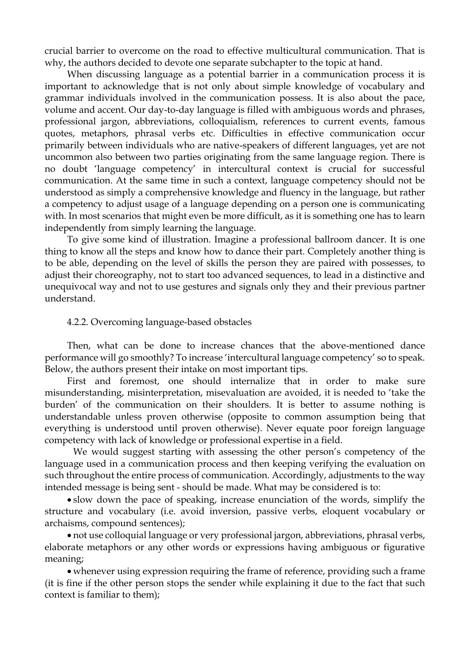crucial barrier to overcome on the road to effective multicultural communication. That is why, the authors decided to devote one separate subchapter to the topic at hand.

When discussing language as a potential barrier in a communication process it is important to acknowledge that is not only about simple knowledge of vocabulary and grammar individuals involved in the communication possess. It is also about the pace, volume and accent. Our day-to-day language is filled with ambiguous words and phrases, professional jargon, abbreviations, colloquialism, references to current events, famous quotes, metaphors, phrasal verbs etc. Difficulties in effective communication occur primarily between individuals who are native-speakers of different languages, yet are not uncommon also between two parties originating from the same language region. There is no doubt 'language competency' in intercultural context is crucial for successful communication. At the same time in such a context, language competency should not be understood as simply a comprehensive knowledge and fluency in the language, but rather a competency to adjust usage of a language depending on a person one is communicating with. In most scenarios that might even be more difficult, as it is something one has to learn independently from simply learning the language.

To give some kind of illustration. Imagine a professional ballroom dancer. It is one thing to know all the steps and know how to dance their part. Completely another thing is to be able, depending on the level of skills the person they are paired with possesses, to adjust their choreography, not to start too advanced sequences, to lead in a distinctive and unequivocal way and not to use gestures and signals only they and their previous partner understand.

# 4.2.2. Overcoming language-based obstacles

Then, what can be done to increase chances that the above-mentioned dance performance will go smoothly? To increase 'intercultural language competency' so to speak. Below, the authors present their intake on most important tips.

First and foremost, one should internalize that in order to make sure misunderstanding, misinterpretation, misevaluation are avoided, it is needed to 'take the burden' of the communication on their shoulders. It is better to assume nothing is understandable unless proven otherwise (opposite to common assumption being that everything is understood until proven otherwise). Never equate poor foreign language competency with lack of knowledge or professional expertise in a field.

We would suggest starting with assessing the other person's competency of the language used in a communication process and then keeping verifying the evaluation on such throughout the entire process of communication. Accordingly, adjustments to the way intended message is being sent - should be made. What may be considered is to:

 slow down the pace of speaking, increase enunciation of the words, simplify the structure and vocabulary (i.e. avoid inversion, passive verbs, eloquent vocabulary or archaisms, compound sentences);

 not use colloquial language or very professional jargon, abbreviations, phrasal verbs, elaborate metaphors or any other words or expressions having ambiguous or figurative meaning;

 whenever using expression requiring the frame of reference, providing such a frame (it is fine if the other person stops the sender while explaining it due to the fact that such context is familiar to them);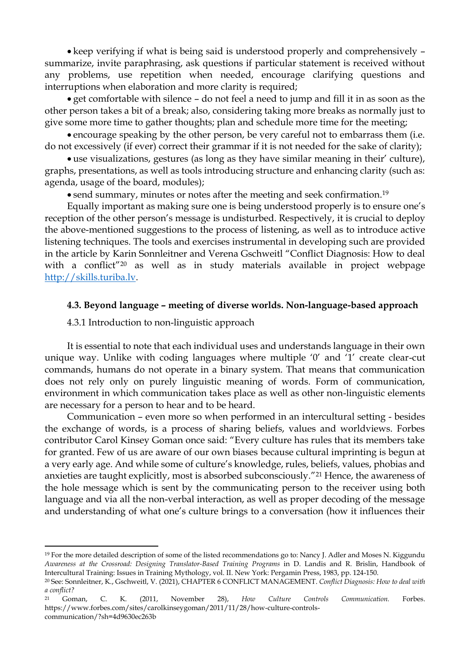• keep verifying if what is being said is understood properly and comprehensively – summarize, invite paraphrasing, ask questions if particular statement is received without any problems, use repetition when needed, encourage clarifying questions and interruptions when elaboration and more clarity is required;

 get comfortable with silence – do not feel a need to jump and fill it in as soon as the other person takes a bit of a break; also, considering taking more breaks as normally just to give some more time to gather thoughts; plan and schedule more time for the meeting;

 encourage speaking by the other person, be very careful not to embarrass them (i.e. do not excessively (if ever) correct their grammar if it is not needed for the sake of clarity);

 use visualizations, gestures (as long as they have similar meaning in their' culture), graphs, presentations, as well as tools introducing structure and enhancing clarity (such as: agenda, usage of the board, modules);

• send summary, minutes or notes after the meeting and seek confirmation.<sup>19</sup>

Equally important as making sure one is being understood properly is to ensure one's reception of the other person's message is undisturbed. Respectively, it is crucial to deploy the above-mentioned suggestions to the process of listening, as well as to introduce active listening techniques. The tools and exercises instrumental in developing such are provided in the article by Karin Sonnleitner and Verena Gschweitl "Conflict Diagnosis: How to deal with a conflict"<sup>20</sup> as well as in study materials available in project webpage [http://skills.turiba.lv.](http://skills.turiba.lv/)

#### **4.3. Beyond language – meeting of diverse worlds. Non-language-based approach**

4.3.1 Introduction to non-linguistic approach

 $\overline{a}$ 

It is essential to note that each individual uses and understands language in their own unique way. Unlike with coding languages where multiple '0' and '1' create clear-cut commands, humans do not operate in a binary system. That means that communication does not rely only on purely linguistic meaning of words. Form of communication, environment in which communication takes place as well as other non-linguistic elements are necessary for a person to hear and to be heard.

Communication – even more so when performed in an intercultural setting - besides the exchange of words, is a process of sharing beliefs, values and worldviews. Forbes contributor Carol Kinsey Goman once said: "Every culture has rules that its members take for granted. Few of us are aware of our own biases because cultural imprinting is begun at a very early age. And while some of culture's knowledge, rules, beliefs, values, phobias and anxieties are taught explicitly, most is absorbed subconsciously."<sup>21</sup> Hence, the awareness of the hole message which is sent by the communicating person to the receiver using both language and via all the non-verbal interaction, as well as proper decoding of the message and understanding of what one's culture brings to a conversation (how it influences their

<sup>19</sup> For the more detailed description of some of the listed recommendations go to: Nancy J. Adler and Moses N. Kiggundu *Awareness at the Crossroad: Designing Translator-Based Training Programs* in D. Landis and R. Brislin, Handbook of Intercultural Training: Issues in Training Mythology, vol. II. New York: Pergamin Press, 1983, pp. 124-150.

<sup>20</sup> See: Sonnleitner, K., Gschweitl, V. (2021), CHAPTER 6 CONFLICT MANAGEMENT. *Conflict Diagnosis: How to deal with a conflict?*

<sup>21</sup> Goman, C. K. (2011, November 28), *How Culture Controls Communication.* Forbes. https://www.forbes.com/sites/carolkinseygoman/2011/11/28/how-culture-controlscommunication/?sh=4d9630ec263b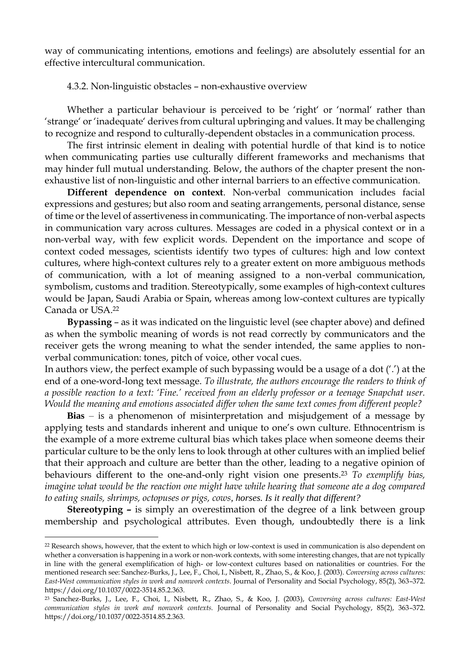way of communicating intentions, emotions and feelings) are absolutely essential for an effective intercultural communication.

4.3.2. Non-linguistic obstacles – non-exhaustive overview

Whether a particular behaviour is perceived to be 'right' or 'normal' rather than 'strange' or 'inadequate' derives from cultural upbringing and values. It may be challenging to recognize and respond to culturally-dependent obstacles in a communication process.

The first intrinsic element in dealing with potential hurdle of that kind is to notice when communicating parties use culturally different frameworks and mechanisms that may hinder full mutual understanding. Below, the authors of the chapter present the nonexhaustive list of non-linguistic and other internal barriers to an effective communication.

**Different dependence on context**. Non-verbal communication includes facial expressions and gestures; but also room and seating arrangements, personal distance, sense of time or the level of assertiveness in communicating. The importance of non-verbal aspects in communication vary across cultures. Messages are coded in a physical context or in a non-verbal way, with few explicit words. Dependent on the importance and scope of context coded messages, scientists identify two types of cultures: high and low context cultures, where high-context cultures rely to a greater extent on more ambiguous methods of communication, with a lot of meaning assigned to a non-verbal communication, symbolism, customs and tradition. Stereotypically, some examples of high-context cultures would be Japan, Saudi Arabia or Spain, whereas among low-context cultures are typically Canada or USA. 22

**Bypassing** – as it was indicated on the linguistic level (see chapter above) and defined as when the symbolic meaning of words is not read correctly by communicators and the receiver gets the wrong meaning to what the sender intended, the same applies to nonverbal communication: tones, pitch of voice, other vocal cues.

In authors view, the perfect example of such bypassing would be a usage of a dot ('.') at the end of a one-word-long text message. *To illustrate, the authors encourage the readers to think of a possible reaction to a text: 'Fine.' received from an elderly professor or a teenage Snapchat user. Would the meaning and emotions associated differ when the same text comes from different people?*

**Bias** – is a phenomenon of misinterpretation and misjudgement of a message by applying tests and standards inherent and unique to one's own culture. Ethnocentrism is the example of a more extreme cultural bias which takes place when someone deems their particular culture to be the only lens to look through at other cultures with an implied belief that their approach and culture are better than the other, leading to a negative opinion of behaviours different to the one-and-only right vision one presents. <sup>23</sup> *To exemplify bias, imagine what would be the reaction one might have while hearing that someone ate a dog compared to eating snails, shrimps, octopuses or pigs, cows, horses. Is it really that different?*

**Stereotyping –** is simply an overestimation of the degree of a link between group membership and psychological attributes. Even though, undoubtedly there is a link

l

<sup>&</sup>lt;sup>22</sup> Research shows, however, that the extent to which high or low-context is used in communication is also dependent on whether a conversation is happening in a work or non-work contexts, with some interesting changes, that are not typically in line with the general exemplification of high- or low-context cultures based on nationalities or countries. For the mentioned research see: Sanchez-Burks, J., Lee, F., Choi, I., Nisbett, R., Zhao, S., & Koo, J. (2003). *Conversing across cultures: East-West communication styles in work and nonwork contexts*. Journal of Personality and Social Psychology, 85(2), 363–372. https://doi.org/10.1037/0022-3514.85.2.363.

<sup>23</sup> Sanchez-Burks, J., Lee, F., Choi, I., Nisbett, R., Zhao, S., & Koo, J. (2003), *Conversing across cultures: East-West communication styles in work and nonwork contexts.* Journal of Personality and Social Psychology, 85(2), 363–372. https://doi.org/10.1037/0022-3514.85.2.363.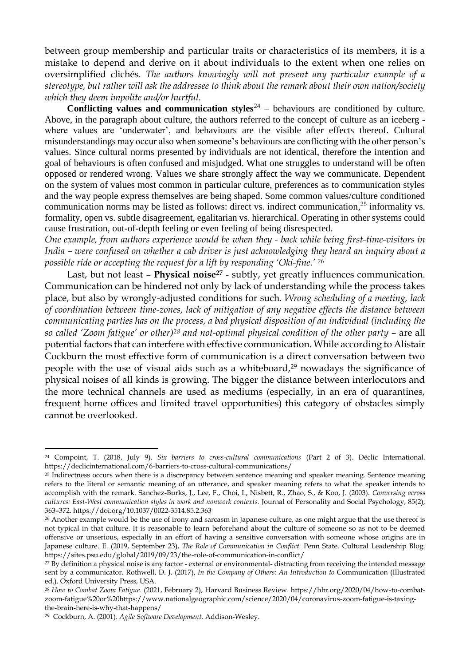between group membership and particular traits or characteristics of its members, it is a mistake to depend and derive on it about individuals to the extent when one relies on oversimplified clichés. *The authors knowingly will not present any particular example of a stereotype, but rather will ask the addressee to think about the remark about their own nation/society which they deem impolite and/or hurtful.*

**Conflicting values and communication styles**<sup>24</sup> – behaviours are conditioned by culture. Above, in the paragraph about culture, the authors referred to the concept of culture as an iceberg where values are 'underwater', and behaviours are the visible after effects thereof. Cultural misunderstandings may occur also when someone's behaviours are conflicting with the other person's values. Since cultural norms presented by individuals are not identical, therefore the intention and goal of behaviours is often confused and misjudged. What one struggles to understand will be often opposed or rendered wrong. Values we share strongly affect the way we communicate. Dependent on the system of values most common in particular culture, preferences as to communication styles and the way people express themselves are being shaped. Some common values/culture conditioned communication norms may be listed as follows: direct vs. indirect communication,<sup>25</sup> informality vs. formality, open vs. subtle disagreement, egalitarian vs. hierarchical. Operating in other systems could cause frustration, out-of-depth feeling or even feeling of being disrespected.

*One example, from authors experience would be when they - back while being first-time-visitors in India – were confused on whether a cab driver is just acknowledging they heard an inquiry about a possible ride or accepting the request for a lift by responding 'Oki-fine.' 26*

Last, but not least – **Physical noise<sup>27</sup>** - subtly, yet greatly influences communication. Communication can be hindered not only by lack of understanding while the process takes place, but also by wrongly-adjusted conditions for such. *Wrong scheduling of a meeting, lack of coordination between time-zones, lack of mitigation of any negative effects the distance between communicating parties has on the process, a bad physical disposition of an individual (including the so called 'Zoom fatigue' or other) <sup>28</sup> and not-optimal physical condition of the other party* – are all potential factors that can interfere with effective communication. While according to Alistair Cockburn the most effective form of communication is a direct conversation between two people with the use of visual aids such as a whiteboard, <sup>29</sup> nowadays the significance of physical noises of all kinds is growing. The bigger the distance between interlocutors and the more technical channels are used as mediums (especially, in an era of quarantines, frequent home offices and limited travel opportunities) this category of obstacles simply cannot be overlooked.

l

<sup>24</sup> Compoint, T. (2018, July 9). *Six barriers to cross-cultural communications* (Part 2 of 3). Déclic International. https://declicinternational.com/6-barriers-to-cross-cultural-communications/

<sup>&</sup>lt;sup>25</sup> Indirectness occurs when there is a discrepancy between sentence meaning and speaker meaning. Sentence meaning refers to the literal or semantic meaning of an utterance, and speaker meaning refers to what the speaker intends to accomplish with the remark. Sanchez-Burks, J., Lee, F., Choi, I., Nisbett, R., Zhao, S., & Koo, J. (2003). *Conversing across cultures: East-West communication styles in work and nonwork contexts.* Journal of Personality and Social Psychology, 85(2), 363–372. https://doi.org/10.1037/0022-3514.85.2.363

<sup>&</sup>lt;sup>26</sup> Another example would be the use of irony and sarcasm in Japanese culture, as one might argue that the use thereof is not typical in that culture. It is reasonable to learn beforehand about the culture of someone so as not to be deemed offensive or unserious, especially in an effort of having a sensitive conversation with someone whose origins are in Japanese culture. E. (2019, September 23), *The Role of Communication in Conflict.* Penn State. Cultural Leadership Blog. https://sites.psu.edu/global/2019/09/23/the-role-of-communication-in-conflict/

<sup>27</sup> By definition a physical noise is any factor - external or environmental- distracting from receiving the intended message sent by a communicator. Rothwell, D. J. (2017), *In the Company of Others: An Introduction to* Communication (Illustrated ed.). Oxford University Press, USA.

<sup>28</sup> *How to Combat Zoom Fatigue*. (2021, February 2), Harvard Business Review. https://hbr.org/2020/04/how-to-combatzoom-fatigue%20or%20https://www.nationalgeographic.com/science/2020/04/coronavirus-zoom-fatigue-is-taxingthe-brain-here-is-why-that-happens/

<sup>29</sup> Cockburn, A. (2001). *Agile Software Development.* Addison-Wesley.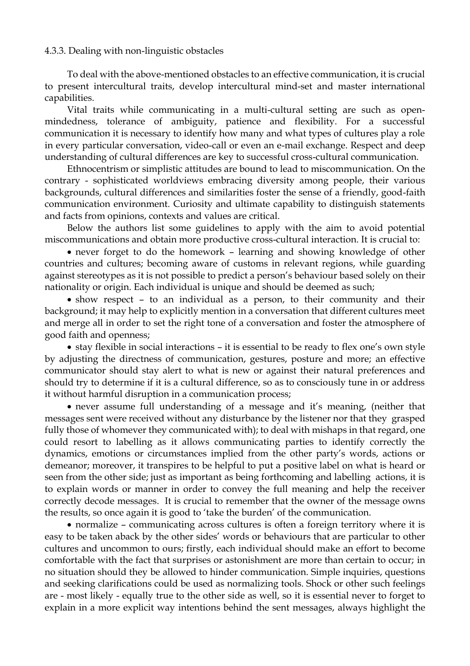#### 4.3.3. Dealing with non-linguistic obstacles

To deal with the above-mentioned obstacles to an effective communication, it is crucial to present intercultural traits, develop intercultural mind-set and master international capabilities.

Vital traits while communicating in a multi-cultural setting are such as openmindedness, tolerance of ambiguity, patience and flexibility. For a successful communication it is necessary to identify how many and what types of cultures play a role in every particular conversation, video-call or even an e-mail exchange. Respect and deep understanding of cultural differences are key to successful cross-cultural communication.

Ethnocentrism or simplistic attitudes are bound to lead to miscommunication. On the contrary - sophisticated worldviews embracing diversity among people, their various backgrounds, cultural differences and similarities foster the sense of a friendly, good-faith communication environment. Curiosity and ultimate capability to distinguish statements and facts from opinions, contexts and values are critical.

Below the authors list some guidelines to apply with the aim to avoid potential miscommunications and obtain more productive cross-cultural interaction. It is crucial to:

 never forget to do the homework – learning and showing knowledge of other countries and cultures; becoming aware of customs in relevant regions, while guarding against stereotypes as it is not possible to predict a person's behaviour based solely on their nationality or origin. Each individual is unique and should be deemed as such;

 show respect – to an individual as a person, to their community and their background; it may help to explicitly mention in a conversation that different cultures meet and merge all in order to set the right tone of a conversation and foster the atmosphere of good faith and openness;

• stay flexible in social interactions – it is essential to be ready to flex one's own style by adjusting the directness of communication, gestures, posture and more; an effective communicator should stay alert to what is new or against their natural preferences and should try to determine if it is a cultural difference, so as to consciously tune in or address it without harmful disruption in a communication process;

 never assume full understanding of a message and it's meaning, (neither that messages sent were received without any disturbance by the listener nor that they grasped fully those of whomever they communicated with); to deal with mishaps in that regard, one could resort to labelling as it allows communicating parties to identify correctly the dynamics, emotions or circumstances implied from the other party's words, actions or demeanor; moreover, it transpires to be helpful to put a positive label on what is heard or seen from the other side; just as important as being forthcoming and labelling actions, it is to explain words or manner in order to convey the full meaning and help the receiver correctly decode messages. It is crucial to remember that the owner of the message owns the results, so once again it is good to 'take the burden' of the communication.

 normalize – communicating across cultures is often a foreign territory where it is easy to be taken aback by the other sides' words or behaviours that are particular to other cultures and uncommon to ours; firstly, each individual should make an effort to become comfortable with the fact that surprises or astonishment are more than certain to occur; in no situation should they be allowed to hinder communication. Simple inquiries, questions and seeking clarifications could be used as normalizing tools. Shock or other such feelings are - most likely - equally true to the other side as well, so it is essential never to forget to explain in a more explicit way intentions behind the sent messages, always highlight the